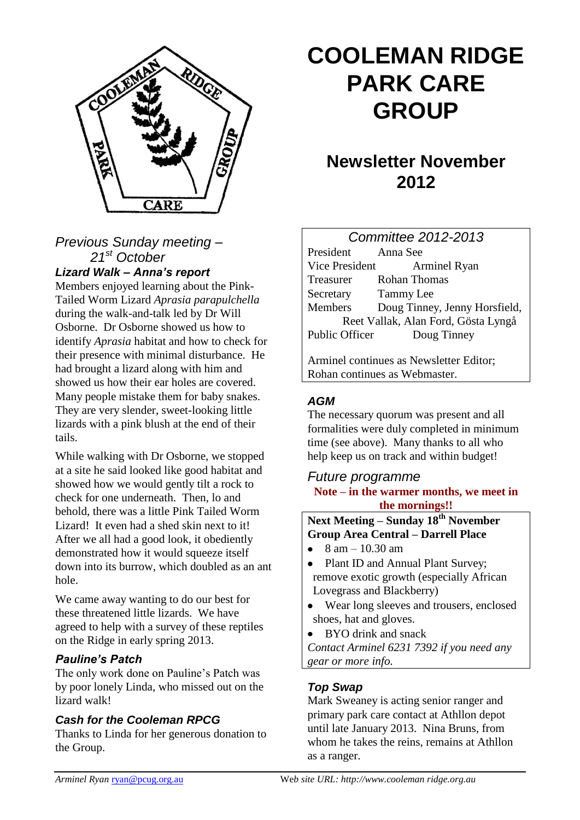

## *Previous Sunday meeting – 21st October Lizard Walk – Anna's report*

Members enjoyed learning about the Pink-Tailed Worm Lizard *Aprasia parapulchella*  during the walk-and-talk led by Dr Will Osborne. Dr Osborne showed us how to identify *Aprasia* habitat and how to check for their presence with minimal disturbance. He had brought a lizard along with him and showed us how their ear holes are covered. Many people mistake them for baby snakes. They are very slender, sweet-looking little lizards with a pink blush at the end of their tails.

While walking with Dr Osborne, we stopped at a site he said looked like good habitat and showed how we would gently tilt a rock to check for one underneath. Then, lo and behold, there was a little Pink Tailed Worm Lizard! It even had a shed skin next to it! After we all had a good look, it obediently demonstrated how it would squeeze itself down into its burrow, which doubled as an ant hole.

We came away wanting to do our best for these threatened little lizards. We have agreed to help with a survey of these reptiles on the Ridge in early spring 2013.

#### *Pauline's Patch*

The only work done on Pauline's Patch was by poor lonely Linda, who missed out on the lizard walk!

#### *Cash for the Cooleman RPCG*

Thanks to Linda for her generous donation to the Group.

# **COOLEMAN RIDGE PARK CARE GROUP**

# **Newsletter November 2012**

| <b>Committee 2012-2013</b>          |                               |
|-------------------------------------|-------------------------------|
| President                           | Anna See                      |
| Vice President                      | <b>Arminel Ryan</b>           |
| Treasurer                           | <b>Rohan Thomas</b>           |
| Secretary Tammy Lee                 |                               |
| Members                             | Doug Tinney, Jenny Horsfield, |
| Reet Vallak, Alan Ford, Gösta Lyngå |                               |
| Public Officer                      | Doug Tinney                   |
|                                     |                               |

Arminel continues as Newsletter Editor; Rohan continues as Webmaster.

# *AGM*

The necessary quorum was present and all formalities were duly completed in minimum time (see above). Many thanks to all who help keep us on track and within budget!

### *Future programme* **Note – in the warmer months, we meet in the mornings!!**

# **Next Meeting – Sunday 18th November Group Area Central – Darrell Place**

- $8 \text{ am} 10.30 \text{ am}$
- Plant ID and Annual Plant Survey; remove exotic growth (especially African Lovegrass and Blackberry)
- Wear long sleeves and trousers, enclosed shoes, hat and gloves.
- BYO drink and snack

*Contact Arminel 6231 7392 if you need any gear or more info.*

# *Top Swap*

Mark Sweaney is acting senior ranger and primary park care contact at Athllon depot until late January 2013. Nina Bruns, from whom he takes the reins, remains at Athllon as a ranger.